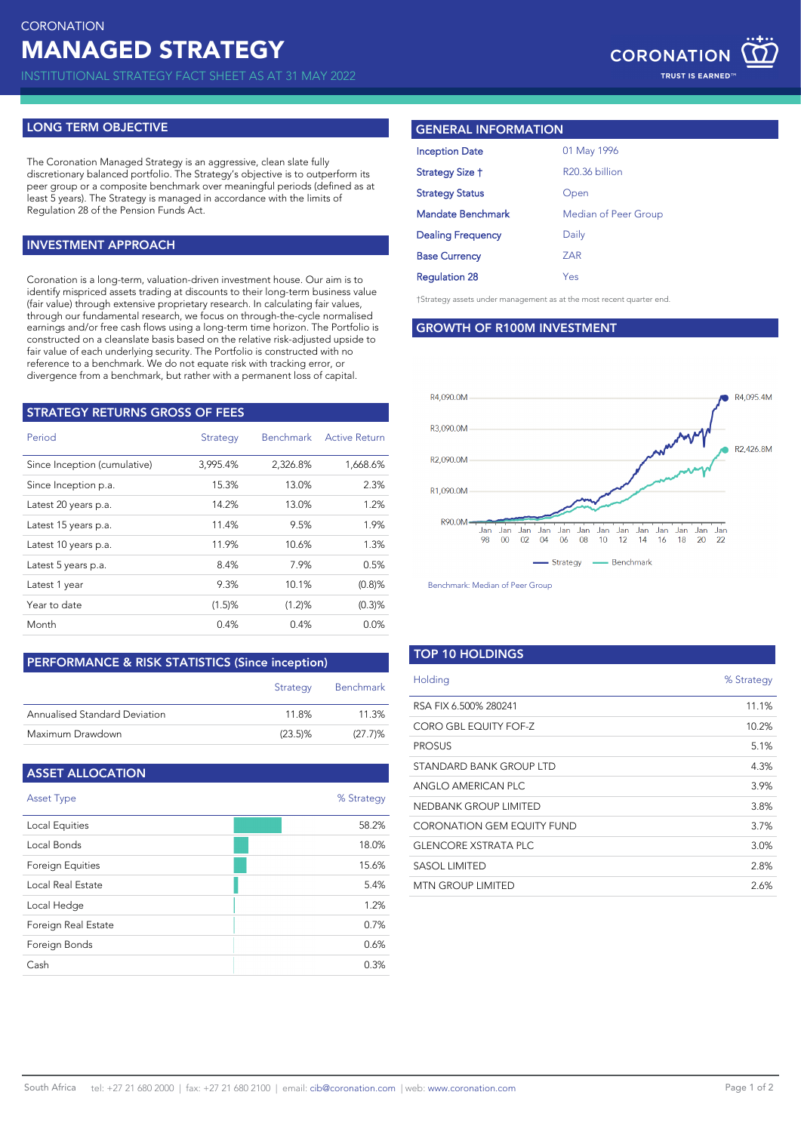INSTITUTIONAL STRATEGY FACT SHEET AS AT 31 MAY 2022

### **LONG TERM OBJECTIVE**

The Coronation Managed Strategy is an aggressive, clean slate fully discretionary balanced portfolio. The Strategy's objective is to outperform its per group or a composite benchmark over meaningful periods (defined as at least 5 years). The Strategy is managed in accordance with the limits of Regulation 28 of the Pension Funds Act.

### **INVESTMENT APPROACH**

Coronation is a long-term, valuation-driven investment house. Our aim is to identify mispriced assets trading at discounts to their long-term business value (fair value) through extensive proprietary research. In calculating fair values, through our fundamental research, we focus on through-the-cycle normalised earnings and/or free cash flows using a long-term time horizon. The Portfolio is constructed on a cleanslate basis based on the relative risk-adjusted upside to fair value of each underlying security. The Portfolio is constructed with no reference to a benchmark. We do not equate risk with tracking error, or divergence from a benchmark, but rather with a permanent loss of capital.

| <b>STRATEGY RETURNS GROSS OF FEES</b> |          |                  |                      |  |
|---------------------------------------|----------|------------------|----------------------|--|
| Period                                | Strategy | <b>Benchmark</b> | <b>Active Return</b> |  |
| Since Inception (cumulative)          | 3,995.4% | 2,326.8%         | 1,668.6%             |  |
| Since Inception p.a.                  | 15.3%    | 13.0%            | 2.3%                 |  |
| Latest 20 years p.a.                  | 14.2%    | 13.0%            | 1.2%                 |  |
| Latest 15 years p.a.                  | 11.4%    | 9.5%             | 1.9%                 |  |
| Latest 10 years p.a.                  | 11.9%    | 10.6%            | 1.3%                 |  |
| Latest 5 years p.a.                   | 8.4%     | 7.9%             | 0.5%                 |  |
| Latest 1 year                         | 9.3%     | 10.1%            | $(0.8)$ %            |  |
| Year to date                          | (1.5)%   | (1.2)%           | (0.3)%               |  |
| Month                                 | 0.4%     | 0.4%             | 0.0%                 |  |

### **PERFORMANCE & RISK STATISTICS (Since inception)**

|                               | Strategy   | <b>Benchmark</b> |
|-------------------------------|------------|------------------|
| Annualised Standard Deviation | 118%       | 11.3%            |
| Maximum Drawdown              | $(23.5)\%$ | (27.7)%          |

| <b>ASSET ALLOCATION</b> |            |
|-------------------------|------------|
| <b>Asset Type</b>       | % Strategy |
| Local Equities          | 58.2%      |
| Local Bonds             | 18.0%      |
| <b>Foreign Equities</b> | 15.6%      |
| Local Real Estate       | 5.4%       |
| Local Hedge             | 1.2%       |
| Foreign Real Estate     | 0.7%       |
| Foreign Bonds           | 0.6%       |
| Cash                    | 0.3%       |

### **GENERAL INFORMATION**

| 01 May 1996          |
|----------------------|
| R20.36 billion       |
| Open                 |
| Median of Peer Group |
| Daily                |
| ZAR                  |
| Yes                  |
|                      |

†Strategy assets under management as at the most recent quarter end.

### **GROWTH OF R100M INVESTMENT**



Benchmark: Median of Peer Group

### **TOP 10 HOLDINGS**

| Holding                           | % Strategy |
|-----------------------------------|------------|
| RSA FIX 6.500% 280241             | 11.1%      |
| CORO GBL EQUITY FOF-Z             | 10.2%      |
| <b>PROSUS</b>                     | 5.1%       |
| STANDARD BANK GROUP LTD           | 4.3%       |
| ANGLO AMERICAN PLC                | 3.9%       |
| <b>NEDBANK GROUP LIMITED</b>      | 3.8%       |
| <b>CORONATION GEM EQUITY FUND</b> | 3.7%       |
| <b>GLENCORE XSTRATA PLC</b>       | 3.0%       |
| SASOL LIMITED                     | 2.8%       |
| <b>MTN GROUP LIMITED</b>          | 2.6%       |